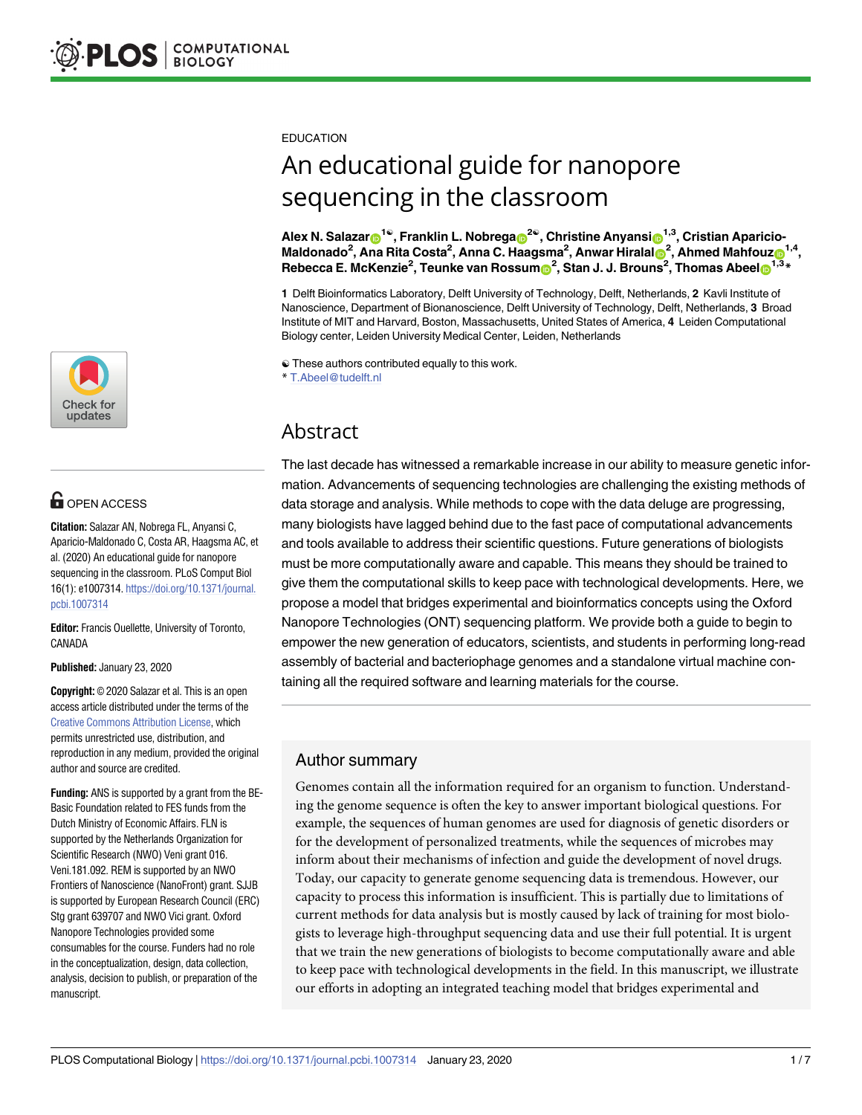

# **G** OPEN ACCESS

**Citation:** Salazar AN, Nobrega FL, Anyansi C, Aparicio-Maldonado C, Costa AR, Haagsma AC, et al. (2020) An educational guide for nanopore sequencing in the classroom. PLoS Comput Biol 16(1): e1007314. [https://doi.org/10.1371/journal.](https://doi.org/10.1371/journal.pcbi.1007314) [pcbi.1007314](https://doi.org/10.1371/journal.pcbi.1007314)

**Editor:** Francis Ouellette, University of Toronto, CANADA

**Published:** January 23, 2020

**Copyright:** © 2020 Salazar et al. This is an open access article distributed under the terms of the Creative Commons [Attribution](http://creativecommons.org/licenses/by/4.0/) License, which permits unrestricted use, distribution, and reproduction in any medium, provided the original author and source are credited.

**Funding:** ANS is supported by a grant from the BE-Basic Foundation related to FES funds from the Dutch Ministry of Economic Affairs. FLN is supported by the Netherlands Organization for Scientific Research (NWO) Veni grant 016. Veni.181.092. REM is supported by an NWO Frontiers of Nanoscience (NanoFront) grant. SJJB is supported by European Research Council (ERC) Stg grant 639707 and NWO Vici grant. Oxford Nanopore Technologies provided some consumables for the course. Funders had no role in the conceptualization, design, data collection, analysis, decision to publish, or preparation of the manuscript.

EDUCATION

# An educational guide for nanopore sequencing in the classroom

 $\mathsf{Alex}\ \mathsf{N}\mathsf{.}\ \mathsf{Salazar} \textcolor{red}{\bf 0}^{1\circledast}, \mathsf{Franklin}\ \mathsf{L}\mathsf{.}\ \mathsf{Nobrega} \textcolor{red}{\bf 0}^{2\circledast}, \mathsf{Christine}\ \mathsf{Anyansi} \textcolor{red}{\bf 0}^{1,3}, \mathsf{Cristian}\ \mathsf{Aparicio-1}$  $\blacksquare$ **Maldonado<sup>2</sup>, Ana Rita Costa<sup>2</sup>, Anna C. Haagsma<sup>2</sup>, Anwar Hiralal** $\blacksquare$ **<sup>2</sup>, Ahmed Mahfouz** $\blacksquare^{1,4}$ **,**  $R$ ebecca E. McKenzie<sup>2</sup>, Teunke van Rossum $\mathbf{O}^2$ , Stan J. J. Brouns<sup>2</sup>, Thomas Abeel $\mathbf{O}^{1,3}$ \*

**1** Delft Bioinformatics Laboratory, Delft University of Technology, Delft, Netherlands, **2** Kavli Institute of Nanoscience, Department of Bionanoscience, Delft University of Technology, Delft, Netherlands, **3** Broad Institute of MIT and Harvard, Boston, Massachusetts, United States of America, **4** Leiden Computational Biology center, Leiden University Medical Center, Leiden, Netherlands

☯ These authors contributed equally to this work.

\* T.Abeel@tudelft.nl

# Abstract

The last decade has witnessed a remarkable increase in our ability to measure genetic information. Advancements of sequencing technologies are challenging the existing methods of data storage and analysis. While methods to cope with the data deluge are progressing, many biologists have lagged behind due to the fast pace of computational advancements and tools available to address their scientific questions. Future generations of biologists must be more computationally aware and capable. This means they should be trained to give them the computational skills to keep pace with technological developments. Here, we propose a model that bridges experimental and bioinformatics concepts using the Oxford Nanopore Technologies (ONT) sequencing platform. We provide both a guide to begin to empower the new generation of educators, scientists, and students in performing long-read assembly of bacterial and bacteriophage genomes and a standalone virtual machine containing all the required software and learning materials for the course.

# Author summary

Genomes contain all the information required for an organism to function. Understanding the genome sequence is often the key to answer important biological questions. For example, the sequences of human genomes are used for diagnosis of genetic disorders or for the development of personalized treatments, while the sequences of microbes may inform about their mechanisms of infection and guide the development of novel drugs. Today, our capacity to generate genome sequencing data is tremendous. However, our capacity to process this information is insufficient. This is partially due to limitations of current methods for data analysis but is mostly caused by lack of training for most biologists to leverage high-throughput sequencing data and use their full potential. It is urgent that we train the new generations of biologists to become computationally aware and able to keep pace with technological developments in the field. In this manuscript, we illustrate our efforts in adopting an integrated teaching model that bridges experimental and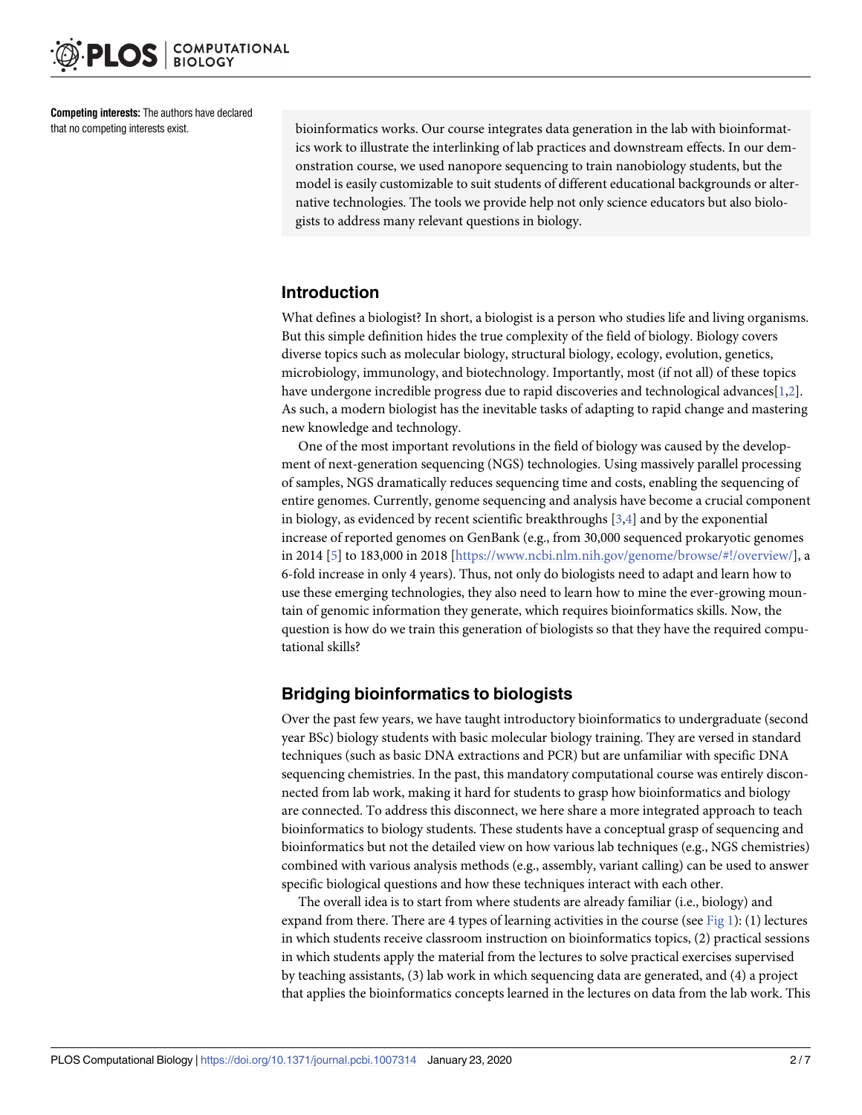<span id="page-1-0"></span>**Competing interests:** The authors have declared that no competing interests exist.

bioinformatics works. Our course integrates data generation in the lab with bioinformatics work to illustrate the interlinking of lab practices and downstream effects. In our demonstration course, we used nanopore sequencing to train nanobiology students, but the model is easily customizable to suit students of different educational backgrounds or alternative technologies. The tools we provide help not only science educators but also biologists to address many relevant questions in biology.

## **Introduction**

What defines a biologist? In short, a biologist is a person who studies life and living organisms. But this simple definition hides the true complexity of the field of biology. Biology covers diverse topics such as molecular biology, structural biology, ecology, evolution, genetics, microbiology, immunology, and biotechnology. Importantly, most (if not all) of these topics have undergone incredible progress due to rapid discoveries and technological advances[\[1](#page-5-0)[,2\]](#page-6-0). As such, a modern biologist has the inevitable tasks of adapting to rapid change and mastering new knowledge and technology.

One of the most important revolutions in the field of biology was caused by the development of next-generation sequencing (NGS) technologies. Using massively parallel processing of samples, NGS dramatically reduces sequencing time and costs, enabling the sequencing of entire genomes. Currently, genome sequencing and analysis have become a crucial component in biology, as evidenced by recent scientific breakthroughs  $[3,4]$  $[3,4]$  and by the exponential increase of reported genomes on GenBank (e.g., from 30,000 sequenced prokaryotic genomes in 2014 [\[5\]](#page-6-0) to 183,000 in 2018 [<https://www.ncbi.nlm.nih.gov/genome/browse/#!/overview/>], a 6-fold increase in only 4 years). Thus, not only do biologists need to adapt and learn how to use these emerging technologies, they also need to learn how to mine the ever-growing mountain of genomic information they generate, which requires bioinformatics skills. Now, the question is how do we train this generation of biologists so that they have the required computational skills?

# **Bridging bioinformatics to biologists**

Over the past few years, we have taught introductory bioinformatics to undergraduate (second year BSc) biology students with basic molecular biology training. They are versed in standard techniques (such as basic DNA extractions and PCR) but are unfamiliar with specific DNA sequencing chemistries. In the past, this mandatory computational course was entirely disconnected from lab work, making it hard for students to grasp how bioinformatics and biology are connected. To address this disconnect, we here share a more integrated approach to teach bioinformatics to biology students. These students have a conceptual grasp of sequencing and bioinformatics but not the detailed view on how various lab techniques (e.g., NGS chemistries) combined with various analysis methods (e.g., assembly, variant calling) can be used to answer specific biological questions and how these techniques interact with each other.

The overall idea is to start from where students are already familiar (i.e., biology) and expand from there. There are 4 types of learning activities in the course (see [Fig](#page-2-0) 1): (1) lectures in which students receive classroom instruction on bioinformatics topics, (2) practical sessions in which students apply the material from the lectures to solve practical exercises supervised by teaching assistants, (3) lab work in which sequencing data are generated, and (4) a project that applies the bioinformatics concepts learned in the lectures on data from the lab work. This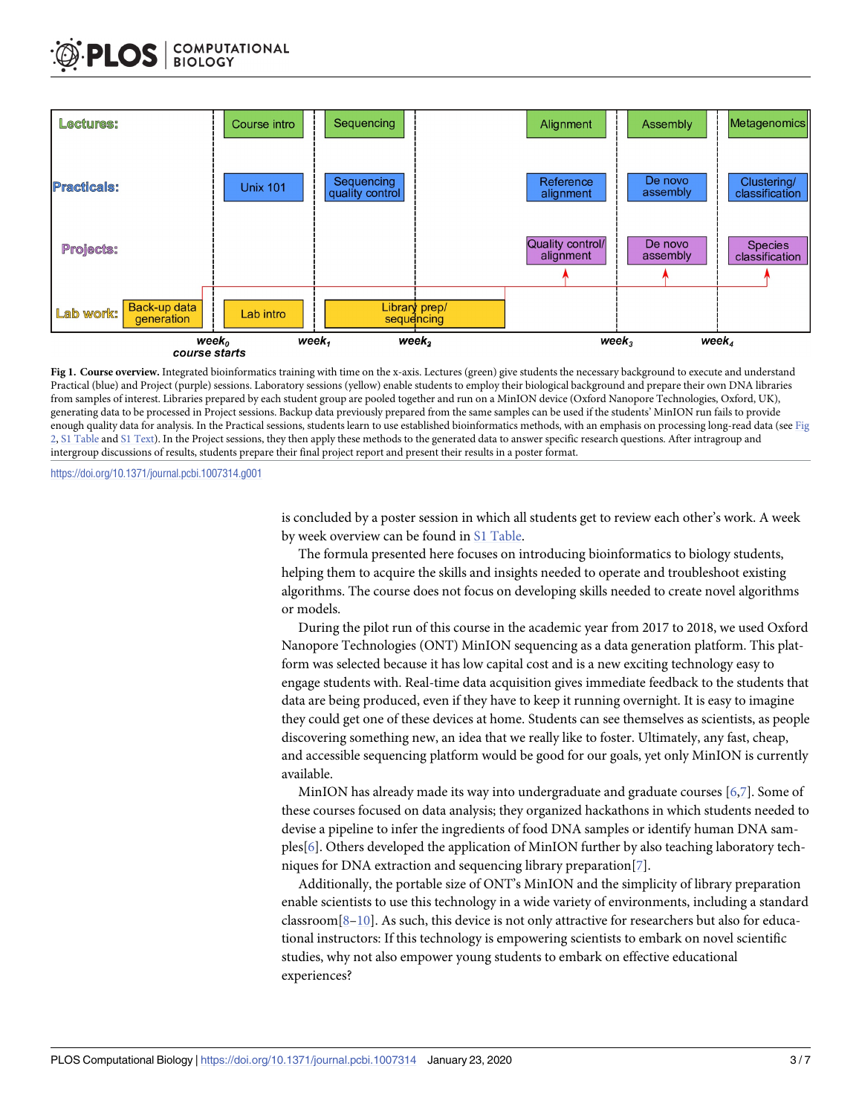<span id="page-2-0"></span>

**[Fig](#page-1-0) 1. Course overview.** Integrated bioinformatics training with time on the x-axis. Lectures (green) give students the necessary background to execute and understand Practical (blue) and Project (purple) sessions. Laboratory sessions (yellow) enable students to employ their biological background and prepare their own DNA libraries from samples of interest. Libraries prepared by each student group are pooled together and run on a MinION device (Oxford Nanopore Technologies, Oxford, UK), generating data to be processed in Project sessions. Backup data previously prepared from the same samples can be used if the students' MinION run fails to provide enough quality data for analysis. In the Practical sessions, students learn to use established bioinformatics methods, with an emphasis on processing long-read data (see [Fig](#page-4-0). [2,](#page-4-0) S1 [Table](#page-5-0) and S1 [Text](#page-5-0)). In the Project sessions, they then apply these methods to the generated data to answer specific research questions. After intragroup and intergroup discussions of results, students prepare their final project report and present their results in a poster format.

<https://doi.org/10.1371/journal.pcbi.1007314.g001>

is concluded by a poster session in which all students get to review each other's work. A week by week overview can be found in S1 [Table.](#page-5-0)

The formula presented here focuses on introducing bioinformatics to biology students, helping them to acquire the skills and insights needed to operate and troubleshoot existing algorithms. The course does not focus on developing skills needed to create novel algorithms or models.

During the pilot run of this course in the academic year from 2017 to 2018, we used Oxford Nanopore Technologies (ONT) MinION sequencing as a data generation platform. This platform was selected because it has low capital cost and is a new exciting technology easy to engage students with. Real-time data acquisition gives immediate feedback to the students that data are being produced, even if they have to keep it running overnight. It is easy to imagine they could get one of these devices at home. Students can see themselves as scientists, as people discovering something new, an idea that we really like to foster. Ultimately, any fast, cheap, and accessible sequencing platform would be good for our goals, yet only MinION is currently available.

MinION has already made its way into undergraduate and graduate courses [[6,7\]](#page-6-0). Some of these courses focused on data analysis; they organized hackathons in which students needed to devise a pipeline to infer the ingredients of food DNA samples or identify human DNA samples[[6\]](#page-6-0). Others developed the application of MinION further by also teaching laboratory techniques for DNA extraction and sequencing library preparation[\[7\]](#page-6-0).

Additionally, the portable size of ONT's MinION and the simplicity of library preparation enable scientists to use this technology in a wide variety of environments, including a standard classroom $[8-10]$  $[8-10]$  $[8-10]$  $[8-10]$  $[8-10]$ . As such, this device is not only attractive for researchers but also for educational instructors: If this technology is empowering scientists to embark on novel scientific studies, why not also empower young students to embark on effective educational experiences?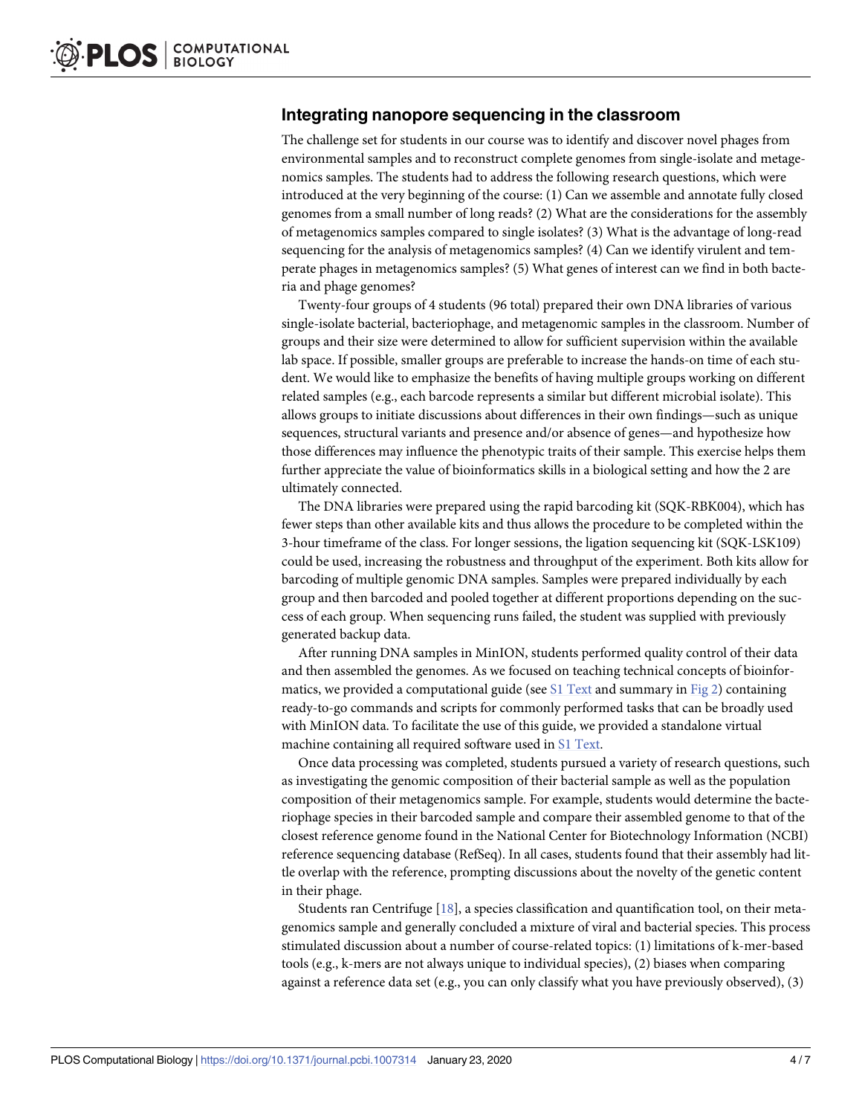#### <span id="page-3-0"></span>**Integrating nanopore sequencing in the classroom**

The challenge set for students in our course was to identify and discover novel phages from environmental samples and to reconstruct complete genomes from single-isolate and metagenomics samples. The students had to address the following research questions, which were introduced at the very beginning of the course: (1) Can we assemble and annotate fully closed genomes from a small number of long reads? (2) What are the considerations for the assembly of metagenomics samples compared to single isolates? (3) What is the advantage of long-read sequencing for the analysis of metagenomics samples? (4) Can we identify virulent and temperate phages in metagenomics samples? (5) What genes of interest can we find in both bacteria and phage genomes?

Twenty-four groups of 4 students (96 total) prepared their own DNA libraries of various single-isolate bacterial, bacteriophage, and metagenomic samples in the classroom. Number of groups and their size were determined to allow for sufficient supervision within the available lab space. If possible, smaller groups are preferable to increase the hands-on time of each student. We would like to emphasize the benefits of having multiple groups working on different related samples (e.g., each barcode represents a similar but different microbial isolate). This allows groups to initiate discussions about differences in their own findings—such as unique sequences, structural variants and presence and/or absence of genes—and hypothesize how those differences may influence the phenotypic traits of their sample. This exercise helps them further appreciate the value of bioinformatics skills in a biological setting and how the 2 are ultimately connected.

The DNA libraries were prepared using the rapid barcoding kit (SQK-RBK004), which has fewer steps than other available kits and thus allows the procedure to be completed within the 3-hour timeframe of the class. For longer sessions, the ligation sequencing kit (SQK-LSK109) could be used, increasing the robustness and throughput of the experiment. Both kits allow for barcoding of multiple genomic DNA samples. Samples were prepared individually by each group and then barcoded and pooled together at different proportions depending on the success of each group. When sequencing runs failed, the student was supplied with previously generated backup data.

After running DNA samples in MinION, students performed quality control of their data and then assembled the genomes. As we focused on teaching technical concepts of bioinformatics, we provided a computational guide (see S1 [Text](#page-5-0) and summary in [Fig](#page-4-0) 2) containing ready-to-go commands and scripts for commonly performed tasks that can be broadly used with MinION data. To facilitate the use of this guide, we provided a standalone virtual machine containing all required software used in S1 [Text](#page-5-0).

Once data processing was completed, students pursued a variety of research questions, such as investigating the genomic composition of their bacterial sample as well as the population composition of their metagenomics sample. For example, students would determine the bacteriophage species in their barcoded sample and compare their assembled genome to that of the closest reference genome found in the National Center for Biotechnology Information (NCBI) reference sequencing database (RefSeq). In all cases, students found that their assembly had little overlap with the reference, prompting discussions about the novelty of the genetic content in their phage.

Students ran Centrifuge [[18](#page-6-0)], a species classification and quantification tool, on their metagenomics sample and generally concluded a mixture of viral and bacterial species. This process stimulated discussion about a number of course-related topics: (1) limitations of k-mer-based tools (e.g., k-mers are not always unique to individual species), (2) biases when comparing against a reference data set (e.g., you can only classify what you have previously observed), (3)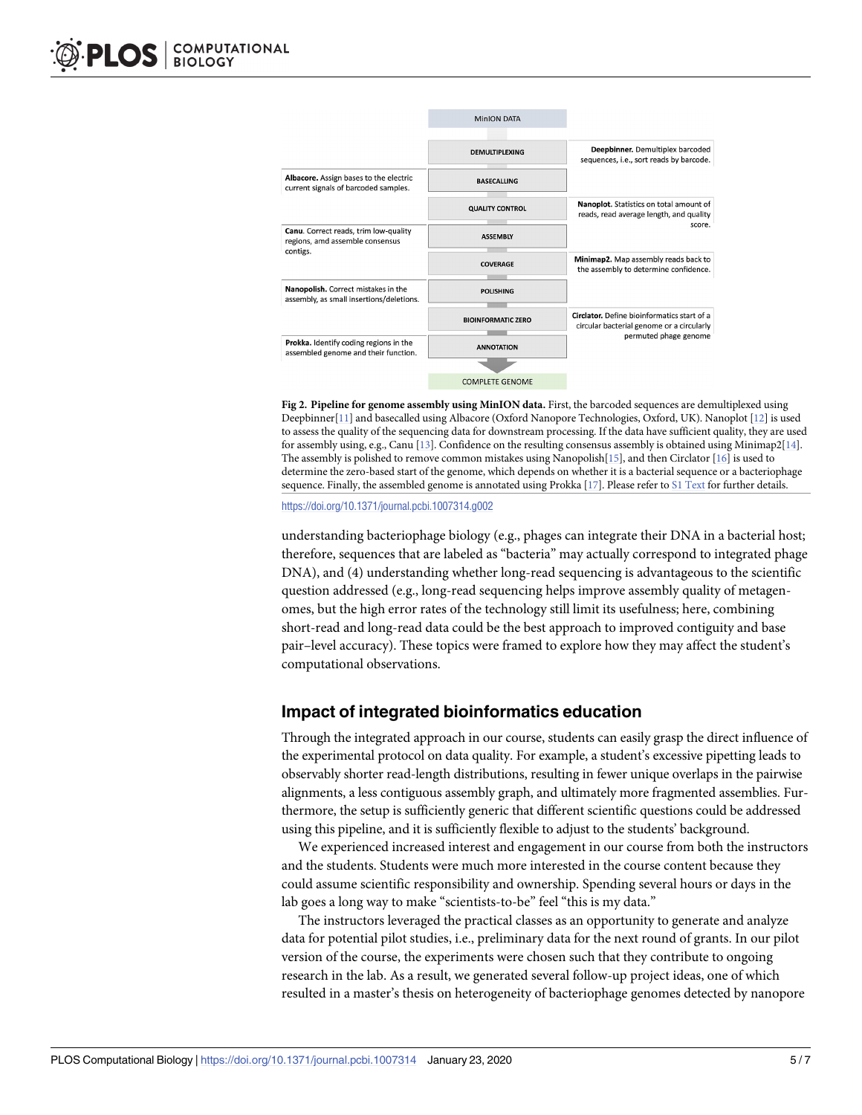<span id="page-4-0"></span>

**[Fig](#page-2-0) 2. Pipeline for genome assembly using MinION data.** First, the barcoded sequences are demultiplexed using Deepbinner[[11](#page-6-0)] and basecalled using Albacore (Oxford Nanopore Technologies, Oxford, UK). Nanoplot [[12](#page-6-0)] is used to assess the quality of the sequencing data for downstream processing. If the data have sufficient quality, they are used for assembly using, e.g., Canu [\[13\]](#page-6-0). Confidence on the resulting consensus assembly is obtained using Minimap2[\[14\]](#page-6-0). The assembly is polished to remove common mistakes using Nanopolish[\[15\]](#page-6-0), and then Circlator [[16](#page-6-0)] is used to determine the zero-based start of the genome, which depends on whether it is a bacterial sequence or a bacteriophage sequence. Finally, the assembled genome is annotated using Prokka [[17](#page-6-0)]. Please refer to S1 [Text](#page-5-0) for further details.

<https://doi.org/10.1371/journal.pcbi.1007314.g002>

understanding bacteriophage biology (e.g., phages can integrate their DNA in a bacterial host; therefore, sequences that are labeled as "bacteria" may actually correspond to integrated phage DNA), and (4) understanding whether long-read sequencing is advantageous to the scientific question addressed (e.g., long-read sequencing helps improve assembly quality of metagenomes, but the high error rates of the technology still limit its usefulness; here, combining short-read and long-read data could be the best approach to improved contiguity and base pair–level accuracy). These topics were framed to explore how they may affect the student's computational observations.

# **Impact of integrated bioinformatics education**

Through the integrated approach in our course, students can easily grasp the direct influence of the experimental protocol on data quality. For example, a student's excessive pipetting leads to observably shorter read-length distributions, resulting in fewer unique overlaps in the pairwise alignments, a less contiguous assembly graph, and ultimately more fragmented assemblies. Furthermore, the setup is sufficiently generic that different scientific questions could be addressed using this pipeline, and it is sufficiently flexible to adjust to the students' background.

We experienced increased interest and engagement in our course from both the instructors and the students. Students were much more interested in the course content because they could assume scientific responsibility and ownership. Spending several hours or days in the lab goes a long way to make "scientists-to-be" feel "this is my data."

The instructors leveraged the practical classes as an opportunity to generate and analyze data for potential pilot studies, i.e., preliminary data for the next round of grants. In our pilot version of the course, the experiments were chosen such that they contribute to ongoing research in the lab. As a result, we generated several follow-up project ideas, one of which resulted in a master's thesis on heterogeneity of bacteriophage genomes detected by nanopore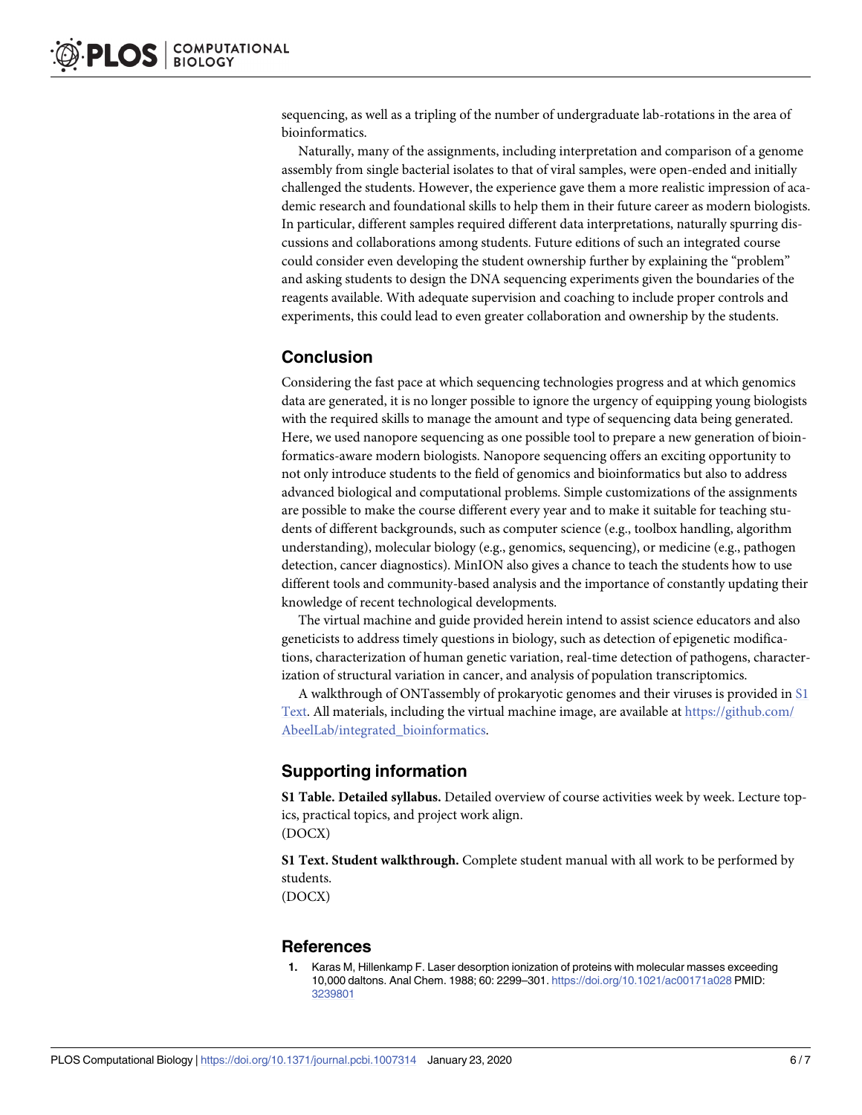<span id="page-5-0"></span>sequencing, as well as a tripling of the number of undergraduate lab-rotations in the area of bioinformatics.

Naturally, many of the assignments, including interpretation and comparison of a genome assembly from single bacterial isolates to that of viral samples, were open-ended and initially challenged the students. However, the experience gave them a more realistic impression of academic research and foundational skills to help them in their future career as modern biologists. In particular, different samples required different data interpretations, naturally spurring discussions and collaborations among students. Future editions of such an integrated course could consider even developing the student ownership further by explaining the "problem" and asking students to design the DNA sequencing experiments given the boundaries of the reagents available. With adequate supervision and coaching to include proper controls and experiments, this could lead to even greater collaboration and ownership by the students.

## **Conclusion**

Considering the fast pace at which sequencing technologies progress and at which genomics data are generated, it is no longer possible to ignore the urgency of equipping young biologists with the required skills to manage the amount and type of sequencing data being generated. Here, we used nanopore sequencing as one possible tool to prepare a new generation of bioinformatics-aware modern biologists. Nanopore sequencing offers an exciting opportunity to not only introduce students to the field of genomics and bioinformatics but also to address advanced biological and computational problems. Simple customizations of the assignments are possible to make the course different every year and to make it suitable for teaching students of different backgrounds, such as computer science (e.g., toolbox handling, algorithm understanding), molecular biology (e.g., genomics, sequencing), or medicine (e.g., pathogen detection, cancer diagnostics). MinION also gives a chance to teach the students how to use different tools and community-based analysis and the importance of constantly updating their knowledge of recent technological developments.

The virtual machine and guide provided herein intend to assist science educators and also geneticists to address timely questions in biology, such as detection of epigenetic modifications, characterization of human genetic variation, real-time detection of pathogens, characterization of structural variation in cancer, and analysis of population transcriptomics.

A walkthrough of ONTassembly of prokaryotic genomes and their viruses is provided in S1 Text. All materials, including the virtual machine image, are available at [https://github.com/](https://github.com/AbeelLab/integrated_bioinformatics) [AbeelLab/integrated\\_bioinformatics](https://github.com/AbeelLab/integrated_bioinformatics).

# **Supporting information**

**S1 [Table.](http://journals.plos.org/ploscompbiol/article/asset?unique&id=info:doi/10.1371/journal.pcbi.1007314.s001) Detailed syllabus.** Detailed overview of course activities week by week. Lecture topics, practical topics, and project work align. (DOCX)

**S1 [Text](http://journals.plos.org/ploscompbiol/article/asset?unique&id=info:doi/10.1371/journal.pcbi.1007314.s002). Student walkthrough.** Complete student manual with all work to be performed by students.

(DOCX)

#### **References**

**[1](#page-1-0).** Karas M, Hillenkamp F. Laser desorption ionization of proteins with molecular masses exceeding 10,000 daltons. Anal Chem. 1988; 60: 2299–301. <https://doi.org/10.1021/ac00171a028> PMID: [3239801](http://www.ncbi.nlm.nih.gov/pubmed/3239801)